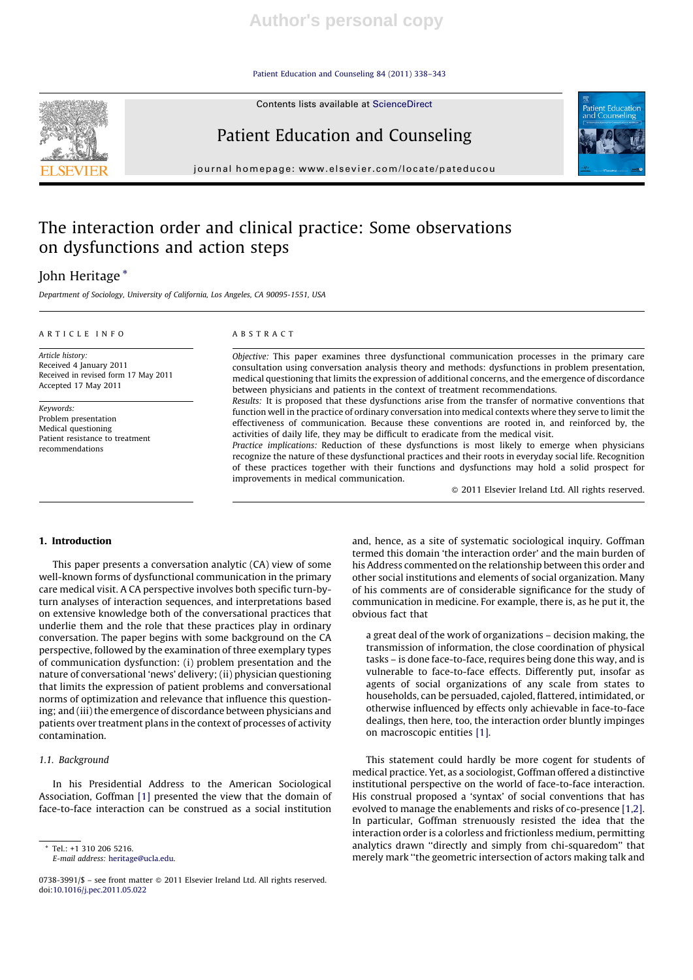Patient Education and Counseling 84 (2011) 338–343

Contents lists available at ScienceDirect



# Patient Education and Counseling

journal homepage: www.elsevier.com/locate/pateducou



## The interaction order and clinical practice: Some observations on dysfunctions and action steps

## John Heritage \*

Department of Sociology, University of California, Los Angeles, CA 90095-1551, USA

#### A R T I C L E I N F O

#### A B S T R A C T

Article history: Received 4 January 2011 Received in revised form 17 May 2011 Accepted 17 May 2011

Keywords: Problem presentation Medical questioning Patient resistance to treatment recommendations

Objective: This paper examines three dysfunctional communication processes in the primary care consultation using conversation analysis theory and methods: dysfunctions in problem presentation, medical questioning that limits the expression of additional concerns, and the emergence of discordance between physicians and patients in the context of treatment recommendations.

Results: It is proposed that these dysfunctions arise from the transfer of normative conventions that function well in the practice of ordinary conversation into medical contexts where they serve to limit the effectiveness of communication. Because these conventions are rooted in, and reinforced by, the activities of daily life, they may be difficult to eradicate from the medical visit.

Practice implications: Reduction of these dysfunctions is most likely to emerge when physicians recognize the nature of these dysfunctional practices and their roots in everyday social life. Recognition of these practices together with their functions and dysfunctions may hold a solid prospect for improvements in medical communication.

- 2011 Elsevier Ireland Ltd. All rights reserved.

## 1. Introduction

This paper presents a conversation analytic (CA) view of some well-known forms of dysfunctional communication in the primary care medical visit. A CA perspective involves both specific turn-byturn analyses of interaction sequences, and interpretations based on extensive knowledge both of the conversational practices that underlie them and the role that these practices play in ordinary conversation. The paper begins with some background on the CA perspective, followed by the examination of three exemplary types of communication dysfunction: (i) problem presentation and the nature of conversational 'news' delivery; (ii) physician questioning that limits the expression of patient problems and conversational norms of optimization and relevance that influence this questioning; and (iii) the emergence of discordance between physicians and patients over treatment plans in the context of processes of activity contamination.

## 1.1. Background

In his Presidential Address to the American Sociological Association, Goffman [1] presented the view that the domain of face-to-face interaction can be construed as a social institution

E-mail address: heritage@ucla.edu.

and, hence, as a site of systematic sociological inquiry. Goffman termed this domain 'the interaction order' and the main burden of his Address commented on the relationship between this order and other social institutions and elements of social organization. Many of his comments are of considerable significance for the study of communication in medicine. For example, there is, as he put it, the obvious fact that

a great deal of the work of organizations – decision making, the transmission of information, the close coordination of physical tasks – is done face-to-face, requires being done this way, and is vulnerable to face-to-face effects. Differently put, insofar as agents of social organizations of any scale from states to households, can be persuaded, cajoled, flattered, intimidated, or otherwise influenced by effects only achievable in face-to-face dealings, then here, too, the interaction order bluntly impinges on macroscopic entities [1].

This statement could hardly be more cogent for students of medical practice. Yet, as a sociologist, Goffman offered a distinctive institutional perspective on the world of face-to-face interaction. His construal proposed a 'syntax' of social conventions that has evolved to manage the enablements and risks of co-presence [1,2]. In particular, Goffman strenuously resisted the idea that the interaction order is a colorless and frictionless medium, permitting analytics drawn ''directly and simply from chi-squaredom'' that merely mark ''the geometric intersection of actors making talk and

<sup>\*</sup> Tel.: +1 310 206 5216.

<sup>0738-3991/\$ –</sup> see front matter © 2011 Elsevier Ireland Ltd. All rights reserved. doi:10.1016/j.pec.2011.05.022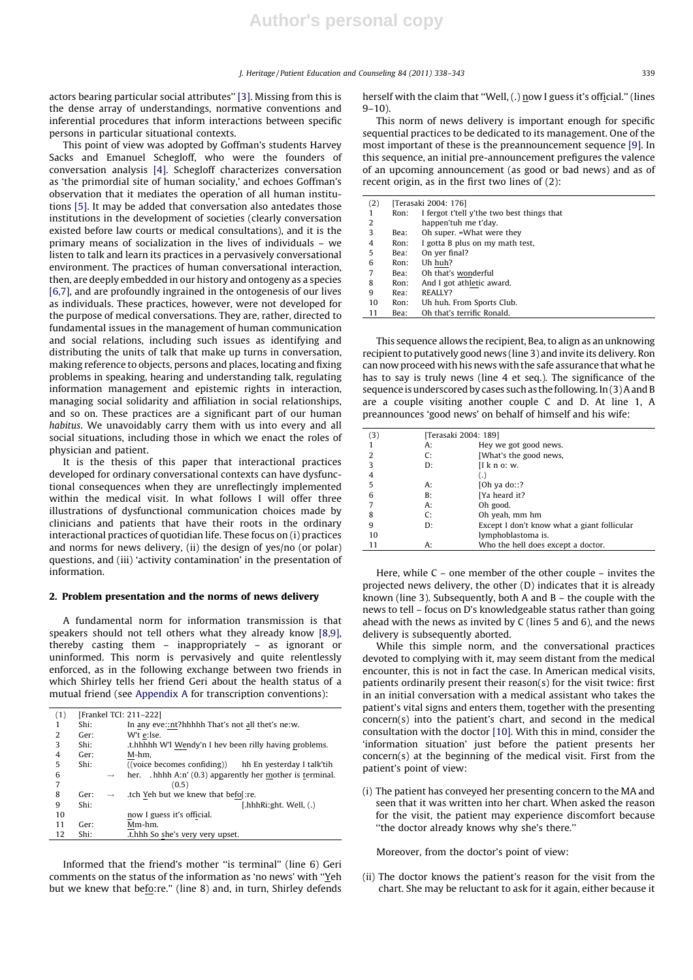actors bearing particular social attributes'' [3]. Missing from this is the dense array of understandings, normative conventions and inferential procedures that inform interactions between specific persons in particular situational contexts.

This point of view was adopted by Goffman's students Harvey Sacks and Emanuel Schegloff, who were the founders of conversation analysis [4]. Schegloff characterizes conversation as 'the primordial site of human sociality,' and echoes Goffman's observation that it mediates the operation of all human institutions [5]. It may be added that conversation also antedates those institutions in the development of societies (clearly conversation existed before law courts or medical consultations), and it is the primary means of socialization in the lives of individuals – we listen to talk and learn its practices in a pervasively conversational environment. The practices of human conversational interaction, then, are deeply embedded in our history and ontogeny as a species [6,7], and are profoundly ingrained in the ontogenesis of our lives as individuals. These practices, however, were not developed for the purpose of medical conversations. They are, rather, directed to fundamental issues in the management of human communication and social relations, including such issues as identifying and distributing the units of talk that make up turns in conversation, making reference to objects, persons and places, locating and fixing problems in speaking, hearing and understanding talk, regulating information management and epistemic rights in interaction, managing social solidarity and affiliation in social relationships, and so on. These practices are a significant part of our human habitus. We unavoidably carry them with us into every and all social situations, including those in which we enact the roles of physician and patient.

It is the thesis of this paper that interactional practices developed for ordinary conversational contexts can have dysfunctional consequences when they are unreflectingly implemented within the medical visit. In what follows I will offer three illustrations of dysfunctional communication choices made by clinicians and patients that have their roots in the ordinary interactional practices of quotidian life. These focus on (i) practices and norms for news delivery, (ii) the design of yes/no (or polar) questions, and (iii) 'activity contamination' in the presentation of information.

### 2. Problem presentation and the norms of news delivery

A fundamental norm for information transmission is that speakers should not tell others what they already know [8,9], thereby casting them – inappropriately – as ignorant or uninformed. This norm is pervasively and quite relentlessly enforced, as in the following exchange between two friends in which Shirley tells her friend Geri about the health status of a mutual friend (see Appendix A for transcription conventions):

| (1) |      |               | [Frankel TCI: 211-222]                                   |
|-----|------|---------------|----------------------------------------------------------|
|     | Shi: |               | In any eve::nt?hhhhh That's not all thet's ne:w.         |
| 2   | Ger: |               | W't e:lse.                                               |
| 3   | Shi: |               | .t.hhhhh W'l Wendy'n I hev been rilly having problems.   |
| 4   | Ger: |               | M-hm.                                                    |
| 5   | Shi: |               | ((voice becomes confiding)) hh En yesterday I talk'tih   |
| 6   |      | $\rightarrow$ | her. .hhhh A:n' (0.3) apparently her mother is terminal. |
| 7   |      |               | (0.5)                                                    |
| 8   | Ger: |               | .tch Yeh but we knew that befol:re.                      |
| 9   | Shi: |               | [.hhhRi:ght. Well, $(.)$                                 |
| 10  |      |               | now I guess it's official.                               |
| 11  | Ger: |               | Mm-hm.                                                   |
| 12  | Shi: |               | .t.hhh So she's very very upset.                         |
|     |      |               |                                                          |

Informed that the friend's mother ''is terminal'' (line 6) Geri comments on the status of the information as 'no news' with ''Yeh but we knew that befo:re.'' (line 8) and, in turn, Shirley defends herself with the claim that "Well, (.) now I guess it's official." (lines  $9 - 10$ ).

This norm of news delivery is important enough for specific sequential practices to be dedicated to its management. One of the most important of these is the preannouncement sequence [9]. In this sequence, an initial pre-announcement prefigures the valence of an upcoming announcement (as good or bad news) and as of recent origin, as in the first two lines of (2):

| (2) | [Terasaki 2004: 176] |                                            |  |
|-----|----------------------|--------------------------------------------|--|
|     | Ron:                 | I fergot t'tell y'the two best things that |  |
| 2   |                      | happen'tuh me t'day.                       |  |
| 3   | Bea:                 | Oh super, =What were they                  |  |
| 4   | Ron:                 | I gotta B plus on my math test,            |  |
| 5   | Bea:                 | On yer final?                              |  |
| 6   | Ron:                 | Uh huh?                                    |  |
| 7   | Bea:                 | Oh that's wonderful                        |  |
| 8   | Ron:                 | And I got athletic award.                  |  |
| 9   | Rea:                 | REALLY?                                    |  |
| 10  | Ron:                 | Uh huh. From Sports Club.                  |  |
| 11  | Bea:                 | Oh that's terrific Ronald.                 |  |

This sequence allows the recipient, Bea, to align as an unknowing recipient to putatively good news (line 3) and invite its delivery. Ron can now proceed with his news with the safe assurance that what he has to say is truly news (line 4 et seq.). The significance of the sequence is underscored by cases such as the following. In(3) A and B are a couple visiting another couple C and D. At line 1, A preannounces 'good news' on behalf of himself and his wife:

| (3) |    | [Terasaki 2004: 189]                        |
|-----|----|---------------------------------------------|
|     | А: | Hey we got good news.                       |
|     | C: | [What's the good news,                      |
|     | D: | $\left[$ I $\rm{k}$ n o: w.                 |
| 4   |    | (.)                                         |
| 5   | А: | [Oh ya do::?                                |
| 6   | B: | [Ya heard it?                               |
|     | A: | Oh good.                                    |
| 8   | C: | Oh yeah, mm hm                              |
| 9   | D: | Except I don't know what a giant follicular |
| 10  |    | lymphoblastoma is.                          |
| 11  | А: | Who the hell does except a doctor.          |

Here, while C – one member of the other couple – invites the projected news delivery, the other (D) indicates that it is already known (line 3). Subsequently, both A and B – the couple with the news to tell – focus on D's knowledgeable status rather than going ahead with the news as invited by C (lines 5 and 6), and the news delivery is subsequently aborted.

While this simple norm, and the conversational practices devoted to complying with it, may seem distant from the medical encounter, this is not in fact the case. In American medical visits, patients ordinarily present their reason(s) for the visit twice: first in an initial conversation with a medical assistant who takes the patient's vital signs and enters them, together with the presenting concern(s) into the patient's chart, and second in the medical consultation with the doctor [10]. With this in mind, consider the 'information situation' just before the patient presents her concern(s) at the beginning of the medical visit. First from the patient's point of view:

(i) The patient has conveyed her presenting concern to the MA and seen that it was written into her chart. When asked the reason for the visit, the patient may experience discomfort because ''the doctor already knows why she's there.''

Moreover, from the doctor's point of view:

(ii) The doctor knows the patient's reason for the visit from the chart. She may be reluctant to ask for it again, either because it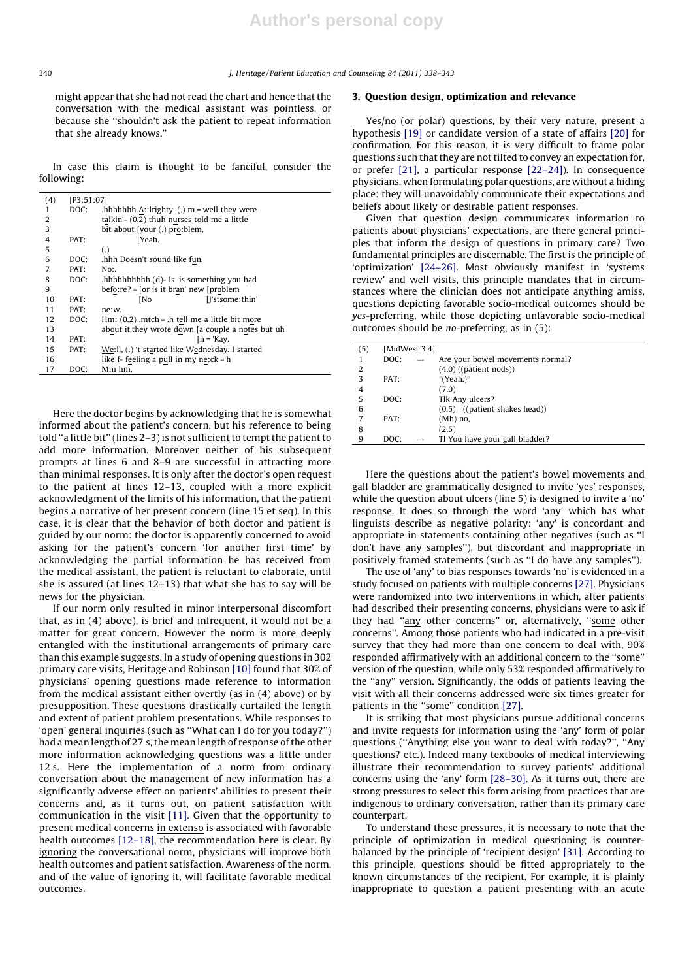#### 340 J. Heritage / Patient Education and Counseling 84 (2011) 338–343

might appear that she had not read the chart and hence that the conversation with the medical assistant was pointless, or because she ''shouldn't ask the patient to repeat information that she already knows.''

In case this claim is thought to be fanciful, consider the following:

| (4) |      | [P3:51:07]                                        |  |  |  |
|-----|------|---------------------------------------------------|--|--|--|
| 1   | DOC: | .hhhhhhh A::lrighty. $(.)$ m = well they were     |  |  |  |
| 2   |      | talkin'- (0.2) thuh nurses told me a little       |  |  |  |
| 3   |      | bit about [your (.) pro:blem,                     |  |  |  |
| 4   | PAT: | [Yeah.                                            |  |  |  |
| 5   |      | (.)                                               |  |  |  |
| 6   | DOC: | .hhh Doesn't sound like fun.                      |  |  |  |
| 7   | PAT: | No:.                                              |  |  |  |
| 8   | DOC: | hhhhhhhhhh (d) - Is 'is something you had         |  |  |  |
| 9   |      | befo: $re? = [or is it brain' new [problem]$      |  |  |  |
| 10  | PAT: | [J'stsome:thin'<br>[No                            |  |  |  |
| 11  | PAT: | ne:w.                                             |  |  |  |
| 12  | DOC: | Hm: $(0.2)$ mtch = .h tell me a little bit more   |  |  |  |
| 13  |      | about it they wrote down [a couple a notes but uh |  |  |  |
| 14  | PAT: | $[n = 'Kav.$                                      |  |  |  |
| 15  | PAT: | We:ll, (.) 't started like Wednesday. I started   |  |  |  |
| 16  |      | like f- feeling a pull in my $ne:ck = h$          |  |  |  |
| 17  | DOC: | Mm hm,                                            |  |  |  |

Here the doctor begins by acknowledging that he is somewhat informed about the patient's concern, but his reference to being told "a little bit" (lines  $2-3$ ) is not sufficient to tempt the patient to add more information. Moreover neither of his subsequent prompts at lines 6 and 8–9 are successful in attracting more than minimal responses. It is only after the doctor's open request to the patient at lines 12–13, coupled with a more explicit acknowledgment of the limits of his information, that the patient begins a narrative of her present concern (line 15 et seq). In this case, it is clear that the behavior of both doctor and patient is guided by our norm: the doctor is apparently concerned to avoid asking for the patient's concern 'for another first time' by acknowledging the partial information he has received from the medical assistant, the patient is reluctant to elaborate, until she is assured (at lines 12–13) that what she has to say will be news for the physician.

If our norm only resulted in minor interpersonal discomfort that, as in (4) above), is brief and infrequent, it would not be a matter for great concern. However the norm is more deeply entangled with the institutional arrangements of primary care than this example suggests. In a study of opening questions in 302 primary care visits, Heritage and Robinson [10] found that 30% of physicians' opening questions made reference to information from the medical assistant either overtly (as in (4) above) or by presupposition. These questions drastically curtailed the length and extent of patient problem presentations. While responses to 'open' general inquiries (such as ''What can I do for you today?'') had a mean length of 27 s, the mean length of response of the other more information acknowledging questions was a little under 12 s. Here the implementation of a norm from ordinary conversation about the management of new information has a significantly adverse effect on patients' abilities to present their concerns and, as it turns out, on patient satisfaction with communication in the visit [11]. Given that the opportunity to present medical concerns in extenso is associated with favorable health outcomes [12–18], the recommendation here is clear. By ignoring the conversational norm, physicians will improve both health outcomes and patient satisfaction. Awareness of the norm, and of the value of ignoring it, will facilitate favorable medical outcomes.

## 3. Question design, optimization and relevance

Yes/no (or polar) questions, by their very nature, present a hypothesis [19] or candidate version of a state of affairs [20] for confirmation. For this reason, it is very difficult to frame polar questions such that they are not tilted to convey an expectation for, or prefer [21], a particular response [22–24]). In consequence physicians, when formulating polar questions, are without a hiding place: they will unavoidably communicate their expectations and beliefs about likely or desirable patient responses.

Given that question design communicates information to patients about physicians' expectations, are there general principles that inform the design of questions in primary care? Two fundamental principles are discernable. The first is the principle of 'optimization' [24–26]. Most obviously manifest in 'systems review' and well visits, this principle mandates that in circumstances where the clinician does not anticipate anything amiss, questions depicting favorable socio-medical outcomes should be yes-preferring, while those depicting unfavorable socio-medical outcomes should be no-preferring, as in (5):

| (5) | [MidWest 3.4] |               |                                  |
|-----|---------------|---------------|----------------------------------|
|     | DOC:          | $\rightarrow$ | Are your bowel movements normal? |
| 2   |               |               | $(4.0)$ ((patient nods))         |
| 3   | PAT:          |               | $\degree$ (Yeah.) $\degree$      |
| 4   |               |               | (7.0)                            |
| 5   | DOC:          |               | Tlk Any ulcers?                  |
| 6   |               |               | $(0.5)$ ((patient shakes head))  |
|     | PAT:          |               | $(Mh)$ no,                       |
| 8   |               |               | (2.5)                            |
| 9   | DOC:          |               | Tl You have your gall bladder?   |
|     |               |               |                                  |

Here the questions about the patient's bowel movements and gall bladder are grammatically designed to invite 'yes' responses, while the question about ulcers (line 5) is designed to invite a 'no' response. It does so through the word 'any' which has what linguists describe as negative polarity: 'any' is concordant and appropriate in statements containing other negatives (such as ''I don't have any samples''), but discordant and inappropriate in positively framed statements (such as ''I do have any samples'').

The use of 'any' to bias responses towards 'no' is evidenced in a study focused on patients with multiple concerns [27]. Physicians were randomized into two interventions in which, after patients had described their presenting concerns, physicians were to ask if they had "any other concerns" or, alternatively, "some other concerns''. Among those patients who had indicated in a pre-visit survey that they had more than one concern to deal with, 90% responded affirmatively with an additional concern to the ''some'' version of the question, while only 53% responded affirmatively to the ''any'' version. Significantly, the odds of patients leaving the visit with all their concerns addressed were six times greater for patients in the "some" condition [27].

It is striking that most physicians pursue additional concerns and invite requests for information using the 'any' form of polar questions (''Anything else you want to deal with today?'', ''Any questions? etc.). Indeed many textbooks of medical interviewing illustrate their recommendation to survey patients' additional concerns using the 'any' form [28–30]. As it turns out, there are strong pressures to select this form arising from practices that are indigenous to ordinary conversation, rather than its primary care counterpart.

To understand these pressures, it is necessary to note that the principle of optimization in medical questioning is counterbalanced by the principle of 'recipient design' [31]. According to this principle, questions should be fitted appropriately to the known circumstances of the recipient. For example, it is plainly inappropriate to question a patient presenting with an acute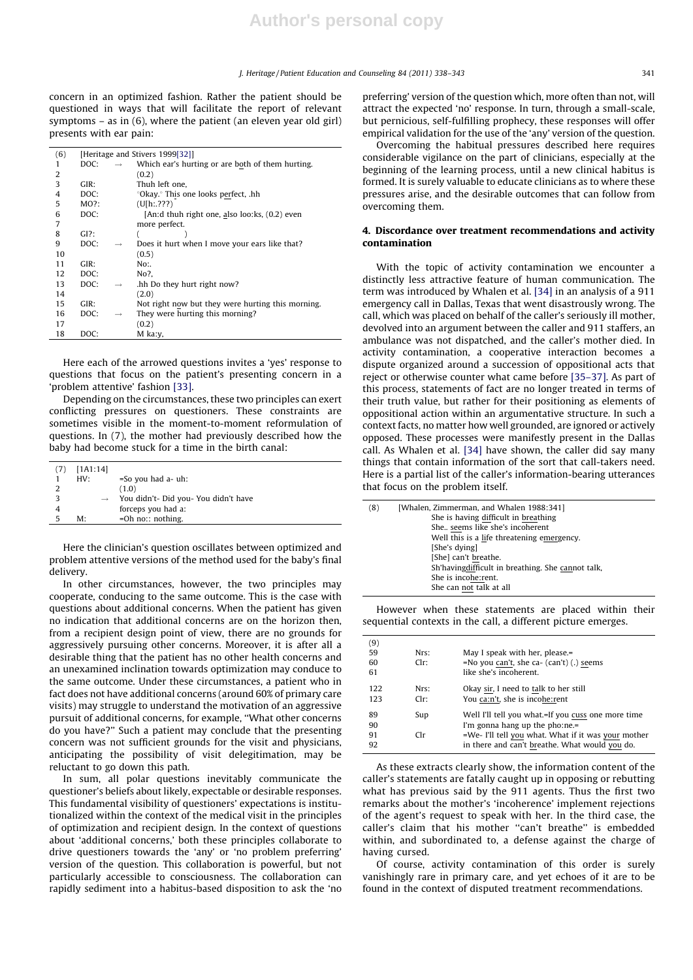concern in an optimized fashion. Rather the patient should be questioned in ways that will facilitate the report of relevant symptoms – as in (6), where the patient (an eleven year old girl) presents with ear pain:

| (6)            |         | [Heritage and Stivers 1999[32]]                   |
|----------------|---------|---------------------------------------------------|
| 1              | DOC:    | Which ear's hurting or are both of them hurting.  |
| $\overline{2}$ |         | (0.2)                                             |
| 3              | GIR:    | Thuh left one.                                    |
| 4              | DOC:    | °Okay.° This one looks perfect, .hh               |
| 5              | $MO?$ : | (U[h:.???)                                        |
| 6              | DOC:    | [An:d thuh right one, also loo:ks, (0.2) even     |
| 7              |         | more perfect.                                     |
| 8              | $GI$ ?: |                                                   |
| 9              | DOC:    | Does it hurt when I move your ears like that?     |
| 10             |         | (0.5)                                             |
| 11             | GIR:    | No:.                                              |
| 12             | DOC:    | No?,                                              |
| 13             | DOC:    | hh Do they hurt right now?                        |
| 14             |         | (2.0)                                             |
| 15             | GIR:    | Not right now but they were hurting this morning. |
| 16             | DOC:    | They were hurting this morning?                   |
| 17             |         | (0.2)                                             |
| 18             | DOC:    | M ka:y,                                           |

Here each of the arrowed questions invites a 'yes' response to questions that focus on the patient's presenting concern in a 'problem attentive' fashion [33].

Depending on the circumstances, these two principles can exert conflicting pressures on questioners. These constraints are sometimes visible in the moment-to-moment reformulation of questions. In (7), the mother had previously described how the baby had become stuck for a time in the birth canal:

| (7) | [1A1:14]          |                                      |
|-----|-------------------|--------------------------------------|
|     | HV:               | $=$ So you had a- uh:                |
| 2   |                   | (1.0)                                |
| 3   | $\longrightarrow$ | You didn't- Did you- You didn't have |
|     |                   | forceps you had a:                   |
| 5   | м٠                | $=$ Oh no:: nothing.                 |

Here the clinician's question oscillates between optimized and problem attentive versions of the method used for the baby's final delivery.

In other circumstances, however, the two principles may cooperate, conducing to the same outcome. This is the case with questions about additional concerns. When the patient has given no indication that additional concerns are on the horizon then, from a recipient design point of view, there are no grounds for aggressively pursuing other concerns. Moreover, it is after all a desirable thing that the patient has no other health concerns and an unexamined inclination towards optimization may conduce to the same outcome. Under these circumstances, a patient who in fact does not have additional concerns (around 60% of primary care visits) may struggle to understand the motivation of an aggressive pursuit of additional concerns, for example, ''What other concerns do you have?'' Such a patient may conclude that the presenting concern was not sufficient grounds for the visit and physicians, anticipating the possibility of visit delegitimation, may be reluctant to go down this path.

In sum, all polar questions inevitably communicate the questioner's beliefs about likely, expectable or desirable responses. This fundamental visibility of questioners' expectations is institutionalized within the context of the medical visit in the principles of optimization and recipient design. In the context of questions about 'additional concerns,' both these principles collaborate to drive questioners towards the 'any' or 'no problem preferring' version of the question. This collaboration is powerful, but not particularly accessible to consciousness. The collaboration can rapidly sediment into a habitus-based disposition to ask the 'no

preferring' version of the question which, more often than not, will attract the expected 'no' response. In turn, through a small-scale, but pernicious, self-fulfilling prophecy, these responses will offer empirical validation for the use of the 'any' version of the question.

Overcoming the habitual pressures described here requires considerable vigilance on the part of clinicians, especially at the beginning of the learning process, until a new clinical habitus is formed. It is surely valuable to educate clinicians as to where these pressures arise, and the desirable outcomes that can follow from overcoming them.

## 4. Discordance over treatment recommendations and activity contamination

With the topic of activity contamination we encounter a distinctly less attractive feature of human communication. The term was introduced by Whalen et al. [34] in an analysis of a 911 emergency call in Dallas, Texas that went disastrously wrong. The call, which was placed on behalf of the caller's seriously ill mother, devolved into an argument between the caller and 911 staffers, an ambulance was not dispatched, and the caller's mother died. In activity contamination, a cooperative interaction becomes a dispute organized around a succession of oppositional acts that reject or otherwise counter what came before [35–37]. As part of this process, statements of fact are no longer treated in terms of their truth value, but rather for their positioning as elements of oppositional action within an argumentative structure. In such a context facts, no matter how well grounded, are ignored or actively opposed. These processes were manifestly present in the Dallas call. As Whalen et al. [34] have shown, the caller did say many things that contain information of the sort that call-takers need. Here is a partial list of the caller's information-bearing utterances that focus on the problem itself.

| (8) | [Whalen, Zimmerman, and Whalen 1988:341]           |
|-----|----------------------------------------------------|
|     | She is having difficult in breathing               |
|     | She., seems like she's incoherent                  |
|     | Well this is a life threatening emergency.         |
|     | [She's dying]                                      |
|     | [She] can't breathe.                               |
|     | Sh'having difficult in breathing. She cannot talk, |
|     | She is incohe:rent.                                |
|     | She can not talk at all                            |

However when these statements are placed within their sequential contexts in the call, a different picture emerges.

| (9)<br>59<br>60<br>61 | Nrs:<br>$Clr$ : | May I speak with her, please.=<br>$=$ No you can't, she ca- $(can't)$ $(.)$ seems<br>like she's incoherent.                                                                                   |
|-----------------------|-----------------|-----------------------------------------------------------------------------------------------------------------------------------------------------------------------------------------------|
| 122<br>123            | Nrs:<br>$Clr$ : | Okay sir, I need to talk to her still<br>You ca:n't, she is incohe:rent                                                                                                                       |
| 89<br>90<br>91<br>92  | Sup<br>Clr      | Well I'll tell you what.=If you cuss one more time<br>I'm gonna hang up the pho:ne.=<br>=We- I'll tell you what. What if it was your mother<br>in there and can't breathe. What would you do. |

As these extracts clearly show, the information content of the caller's statements are fatally caught up in opposing or rebutting what has previous said by the 911 agents. Thus the first two remarks about the mother's 'incoherence' implement rejections of the agent's request to speak with her. In the third case, the caller's claim that his mother ''can't breathe'' is embedded within, and subordinated to, a defense against the charge of having cursed.

Of course, activity contamination of this order is surely vanishingly rare in primary care, and yet echoes of it are to be found in the context of disputed treatment recommendations.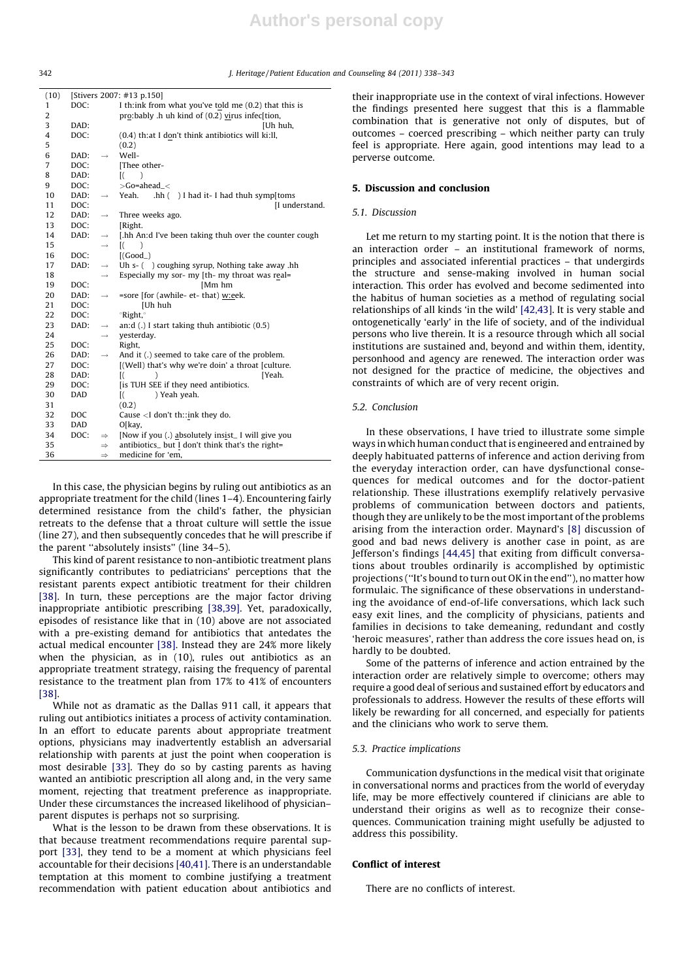342 J. Heritage / Patient Education and Counseling 84 (2011) 338–343

| (10)           |            |                   | [Stivers 2007: #13 p.150]                              |
|----------------|------------|-------------------|--------------------------------------------------------|
| 1              | DOC:       |                   | I th:ink from what you've told me (0.2) that this is   |
| $\overline{2}$ |            |                   | pro:bably .h uh kind of (0.2) virus infec[tion,        |
| 3              | DAD:       |                   | [Uh huh,                                               |
| 4              | DOC:       |                   | (0.4) th:at I don't think antibiotics will ki:ll,      |
| 5              |            |                   | (0.2)                                                  |
| 6              | DAD:       |                   | Well-                                                  |
| $\overline{7}$ | DOC:       |                   | Thee other-                                            |
| 8              | DAD:       |                   | IC.<br>$\rightarrow$                                   |
| 9              | DOC:       |                   | $>\,$ Go=ahead $\,$                                    |
| 10             | DAD:       | $\rightarrow$     | Yeah.<br>) I had it- I had thuh symp[toms<br>.hh (     |
| 11             | DOC:       |                   | [I understand.                                         |
| 12             | DAD:       | $\rightarrow$     | Three weeks ago.                                       |
| 13             | DOC:       |                   | [Right.                                                |
| 14             | DAD:       | $\longrightarrow$ | [.hh An:d I've been taking thuh over the counter cough |
| 15             |            | $\rightarrow$     | I(<br>$\lambda$                                        |
| 16             | DOC:       |                   | $[(Good_{})$                                           |
| 17             | DAD:       | $\rightarrow$     | Uh s- $($ ) coughing syrup, Nothing take away .hh      |
| 18             |            | $\rightarrow$     | Especially my sor- my [th- my throat was real=         |
| 19             | DOC:       |                   | [Mm hm                                                 |
| 20             | DAD:       | $\rightarrow$     | =sore [for (awhile- et- that) w:eek.                   |
| 21             | DOC:       |                   | [Uh huh                                                |
| 22             | DOC:       |                   | °Right,°                                               |
| 23             | DAD:       | $\longrightarrow$ | an:d (.) I start taking thuh antibiotic (0.5)          |
| 24             |            | $\rightarrow$     | vesterday.                                             |
| 25             | DOC:       |                   | Right,                                                 |
| 26             | DAD:       | $\rightarrow$     | And it (.) seemed to take care of the problem.         |
| 27             | DOC:       |                   | [(Well) that's why we're doin' a throat [culture.      |
| 28             | DAD:       |                   | [Yeah.<br>И                                            |
| 29             | DOC:       |                   | [is TUH SEE if they need antibiotics.                  |
| 30             | DAD        |                   | I(<br>) Yeah yeah.                                     |
| 31             |            |                   | (0.2)                                                  |
| 32             | DOC        |                   | Cause $\lt$ I don't th::ink they do.                   |
| 33             | <b>DAD</b> |                   | O[kay,                                                 |
| 34             | DOC:       | $\Rightarrow$     | [Now if you (.) absolutely insist_I will give you      |
| 35             |            | $\Rightarrow$     | antibiotics_ but I don't think that's the right=       |
| 36             |            | $\Rightarrow$     | medicine for 'em,                                      |
|                |            |                   |                                                        |

In this case, the physician begins by ruling out antibiotics as an appropriate treatment for the child (lines 1–4). Encountering fairly determined resistance from the child's father, the physician retreats to the defense that a throat culture will settle the issue (line 27), and then subsequently concedes that he will prescribe if the parent ''absolutely insists'' (line 34–5).

This kind of parent resistance to non-antibiotic treatment plans significantly contributes to pediatricians' perceptions that the resistant parents expect antibiotic treatment for their children [38]. In turn, these perceptions are the major factor driving inappropriate antibiotic prescribing [38,39]. Yet, paradoxically, episodes of resistance like that in (10) above are not associated with a pre-existing demand for antibiotics that antedates the actual medical encounter [38]. Instead they are 24% more likely when the physician, as in (10), rules out antibiotics as an appropriate treatment strategy, raising the frequency of parental resistance to the treatment plan from 17% to 41% of encounters [38].

While not as dramatic as the Dallas 911 call, it appears that ruling out antibiotics initiates a process of activity contamination. In an effort to educate parents about appropriate treatment options, physicians may inadvertently establish an adversarial relationship with parents at just the point when cooperation is most desirable [33]. They do so by casting parents as having wanted an antibiotic prescription all along and, in the very same moment, rejecting that treatment preference as inappropriate. Under these circumstances the increased likelihood of physician– parent disputes is perhaps not so surprising.

What is the lesson to be drawn from these observations. It is that because treatment recommendations require parental support [33], they tend to be a moment at which physicians feel accountable for their decisions [40,41]. There is an understandable temptation at this moment to combine justifying a treatment recommendation with patient education about antibiotics and their inappropriate use in the context of viral infections. However the findings presented here suggest that this is a flammable combination that is generative not only of disputes, but of outcomes – coerced prescribing – which neither party can truly feel is appropriate. Here again, good intentions may lead to a perverse outcome.

## 5. Discussion and conclusion

## 5.1. Discussion

Let me return to my starting point. It is the notion that there is an interaction order – an institutional framework of norms, principles and associated inferential practices – that undergirds the structure and sense-making involved in human social interaction. This order has evolved and become sedimented into the habitus of human societies as a method of regulating social relationships of all kinds 'in the wild' [42,43]. It is very stable and ontogenetically 'early' in the life of society, and of the individual persons who live therein. It is a resource through which all social institutions are sustained and, beyond and within them, identity, personhood and agency are renewed. The interaction order was not designed for the practice of medicine, the objectives and constraints of which are of very recent origin.

### 5.2. Conclusion

In these observations, I have tried to illustrate some simple ways in which human conduct that is engineered and entrained by deeply habituated patterns of inference and action deriving from the everyday interaction order, can have dysfunctional consequences for medical outcomes and for the doctor-patient relationship. These illustrations exemplify relatively pervasive problems of communication between doctors and patients, though they are unlikely to be the most important of the problems arising from the interaction order. Maynard's [8] discussion of good and bad news delivery is another case in point, as are Jefferson's findings [44,45] that exiting from difficult conversations about troubles ordinarily is accomplished by optimistic projections (''It's bound to turn out OK in the end''), no matter how formulaic. The significance of these observations in understanding the avoidance of end-of-life conversations, which lack such easy exit lines, and the complicity of physicians, patients and families in decisions to take demeaning, redundant and costly 'heroic measures', rather than address the core issues head on, is hardly to be doubted.

Some of the patterns of inference and action entrained by the interaction order are relatively simple to overcome; others may require a good deal of serious and sustained effort by educators and professionals to address. However the results of these efforts will likely be rewarding for all concerned, and especially for patients and the clinicians who work to serve them.

## 5.3. Practice implications

Communication dysfunctions in the medical visit that originate in conversational norms and practices from the world of everyday life, may be more effectively countered if clinicians are able to understand their origins as well as to recognize their consequences. Communication training might usefully be adjusted to address this possibility.

## Conflict of interest

There are no conflicts of interest.